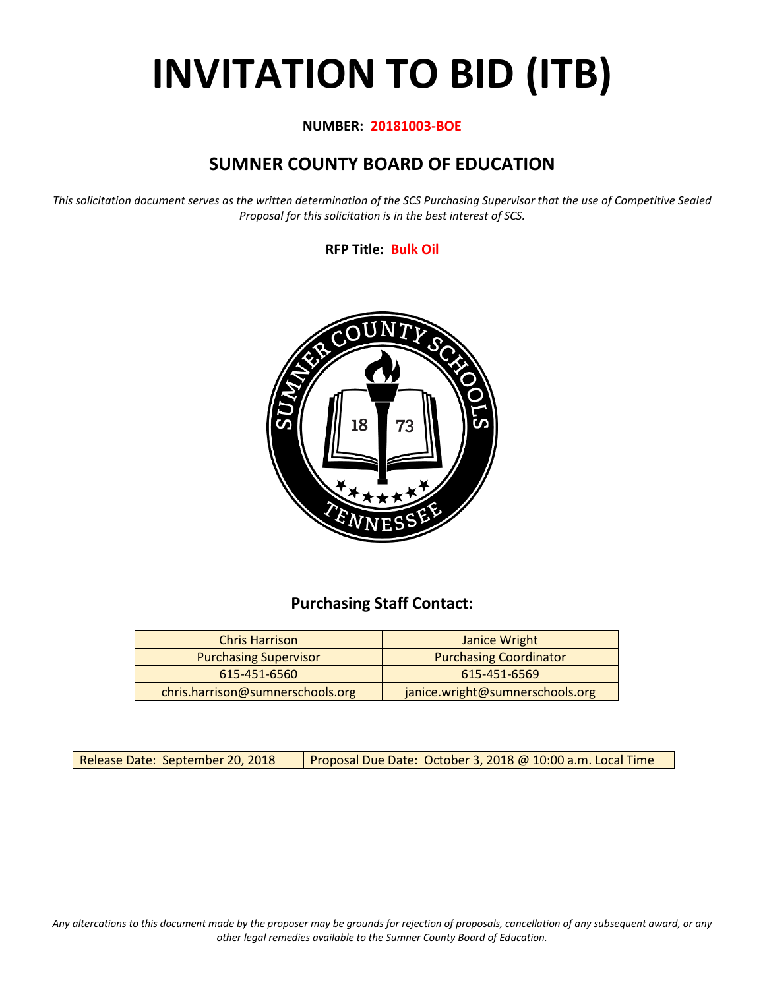# **INVITATION TO BID (ITB)**

#### **NUMBER: 20181003-BOE**

# **SUMNER COUNTY BOARD OF EDUCATION**

*This solicitation document serves as the written determination of the SCS Purchasing Supervisor that the use of Competitive Sealed Proposal for this solicitation is in the best interest of SCS.*

**RFP Title: Bulk Oil**



## **Purchasing Staff Contact:**

| <b>Chris Harrison</b>            | Janice Wright                   |
|----------------------------------|---------------------------------|
| <b>Purchasing Supervisor</b>     | <b>Purchasing Coordinator</b>   |
| 615-451-6560                     | 615-451-6569                    |
| chris.harrison@sumnerschools.org | janice.wright@sumnerschools.org |

Release Date: September 20, 2018 | Proposal Due Date: October 3, 2018 @ 10:00 a.m. Local Time

*Any altercations to this document made by the proposer may be grounds for rejection of proposals, cancellation of any subsequent award, or any other legal remedies available to the Sumner County Board of Education.*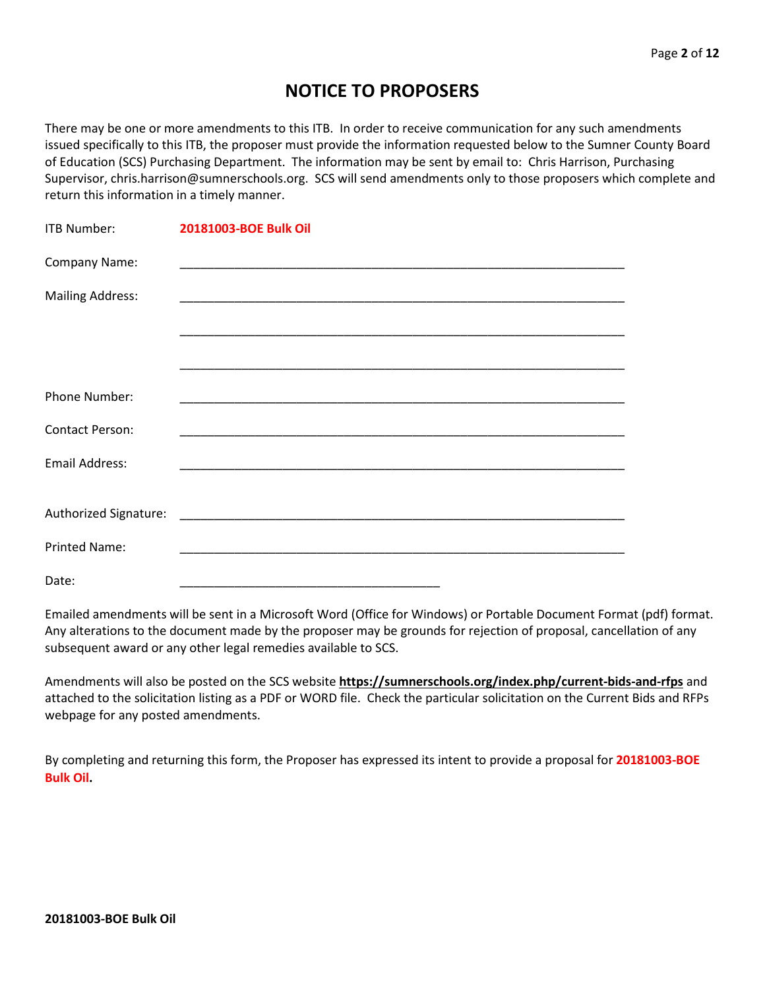## **NOTICE TO PROPOSERS**

There may be one or more amendments to this ITB. In order to receive communication for any such amendments issued specifically to this ITB, the proposer must provide the information requested below to the Sumner County Board of Education (SCS) Purchasing Department. The information may be sent by email to: Chris Harrison, Purchasing Supervisor, chris.harrison@sumnerschools.org. SCS will send amendments only to those proposers which complete and return this information in a timely manner.

| <b>ITB Number:</b>      | 20181003-BOE Bulk Oil |
|-------------------------|-----------------------|
| Company Name:           |                       |
| <b>Mailing Address:</b> |                       |
|                         |                       |
|                         |                       |
| <b>Phone Number:</b>    |                       |
| <b>Contact Person:</b>  |                       |
| <b>Email Address:</b>   |                       |
|                         |                       |
|                         |                       |
| <b>Printed Name:</b>    |                       |
| Date:                   |                       |

Emailed amendments will be sent in a Microsoft Word (Office for Windows) or Portable Document Format (pdf) format. Any alterations to the document made by the proposer may be grounds for rejection of proposal, cancellation of any subsequent award or any other legal remedies available to SCS.

Amendments will also be posted on the SCS website **https://sumnerschools.org/index.php/current-bids-and-rfps** and attached to the solicitation listing as a PDF or WORD file. Check the particular solicitation on the Current Bids and RFPs webpage for any posted amendments.

By completing and returning this form, the Proposer has expressed its intent to provide a proposal for **20181003-BOE Bulk Oil.**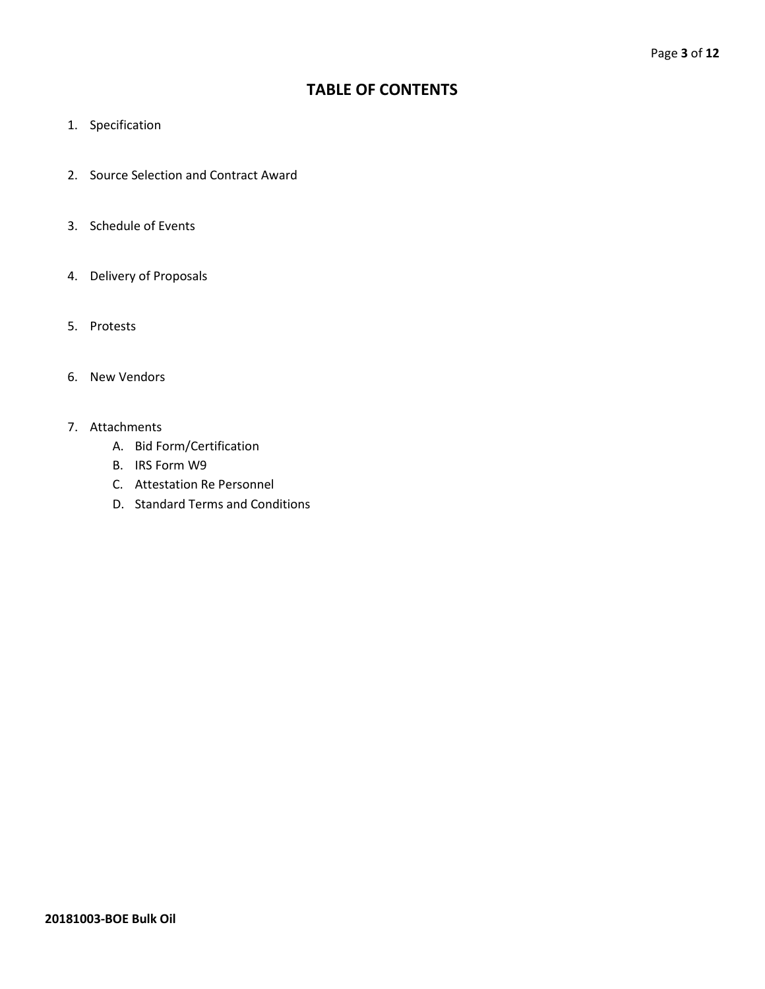## **TABLE OF CONTENTS**

- 1. Specification
- 2. Source Selection and Contract Award
- 3. Schedule of Events
- 4. Delivery of Proposals
- 5. Protests
- 6. New Vendors
- 7. Attachments
	- A. Bid Form/Certification
	- B. IRS Form W9
	- C. Attestation Re Personnel
	- D. Standard Terms and Conditions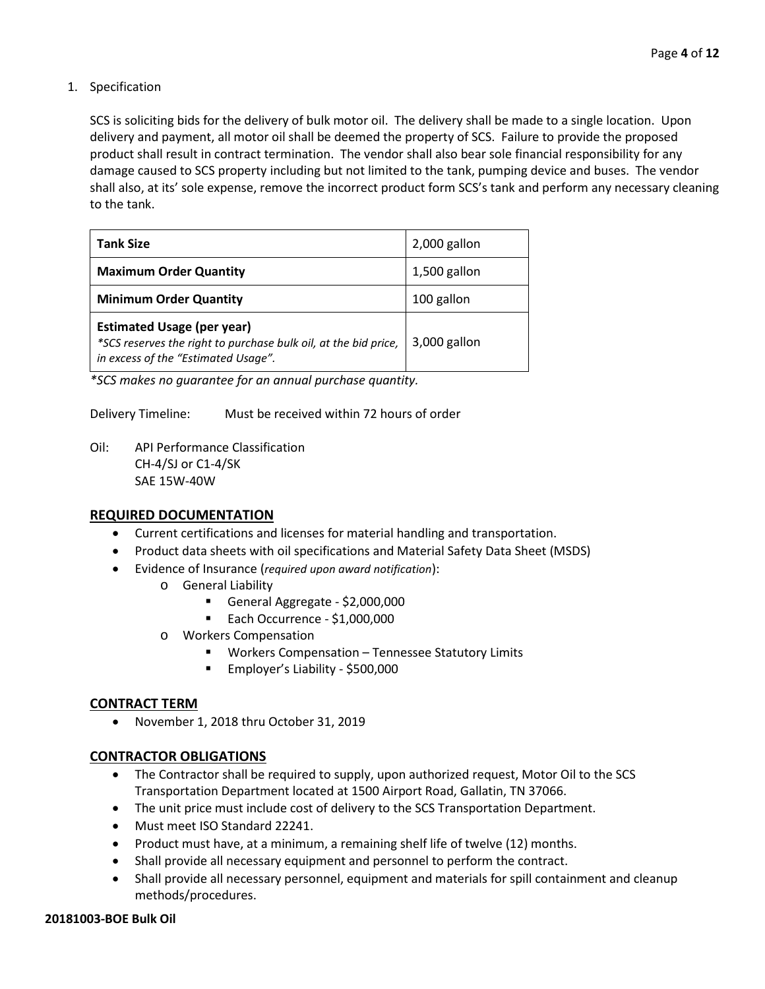#### 1. Specification

SCS is soliciting bids for the delivery of bulk motor oil. The delivery shall be made to a single location. Upon delivery and payment, all motor oil shall be deemed the property of SCS. Failure to provide the proposed product shall result in contract termination. The vendor shall also bear sole financial responsibility for any damage caused to SCS property including but not limited to the tank, pumping device and buses. The vendor shall also, at its' sole expense, remove the incorrect product form SCS's tank and perform any necessary cleaning to the tank.

| <b>Tank Size</b>                                                                                                                            | 2,000 gallon |
|---------------------------------------------------------------------------------------------------------------------------------------------|--------------|
| <b>Maximum Order Quantity</b>                                                                                                               | 1,500 gallon |
| <b>Minimum Order Quantity</b>                                                                                                               | 100 gallon   |
| <b>Estimated Usage (per year)</b><br>*SCS reserves the right to purchase bulk oil, at the bid price,<br>in excess of the "Estimated Usage". | 3,000 gallon |

*\*SCS makes no guarantee for an annual purchase quantity.*

Delivery Timeline: Must be received within 72 hours of order

Oil: API Performance Classification CH-4/SJ or C1-4/SK SAE 15W-40W

#### **REQUIRED DOCUMENTATION**

- Current certifications and licenses for material handling and transportation.
- Product data sheets with oil specifications and Material Safety Data Sheet (MSDS)
- Evidence of Insurance (*required upon award notification*):
	- o General Liability
		- General Aggregate \$2,000,000
		- Each Occurrence \$1,000,000
	- o Workers Compensation
		- **Workers Compensation Tennessee Statutory Limits**
		- Employer's Liability \$500,000

#### **CONTRACT TERM**

• November 1, 2018 thru October 31, 2019

#### **CONTRACTOR OBLIGATIONS**

- The Contractor shall be required to supply, upon authorized request, Motor Oil to the SCS Transportation Department located at 1500 Airport Road, Gallatin, TN 37066.
- The unit price must include cost of delivery to the SCS Transportation Department.
- Must meet ISO Standard 22241.
- Product must have, at a minimum, a remaining shelf life of twelve (12) months.
- Shall provide all necessary equipment and personnel to perform the contract.
- Shall provide all necessary personnel, equipment and materials for spill containment and cleanup methods/procedures.

#### **20181003-BOE Bulk Oil**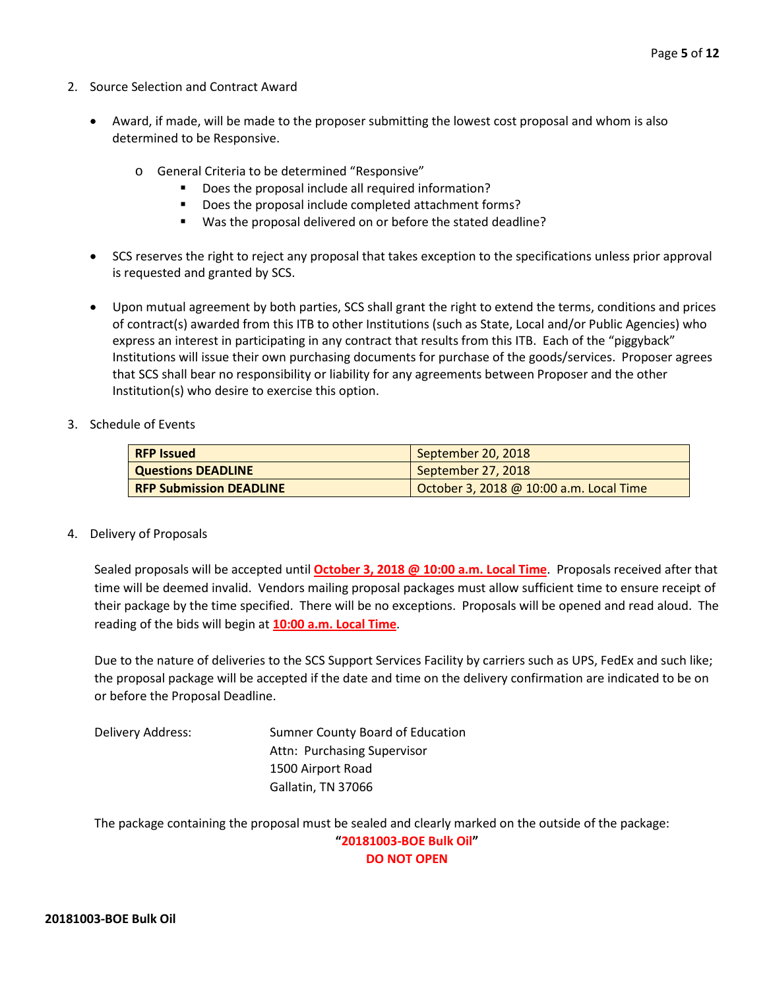- 2. Source Selection and Contract Award
	- Award, if made, will be made to the proposer submitting the lowest cost proposal and whom is also determined to be Responsive.
		- o General Criteria to be determined "Responsive"
			- Does the proposal include all required information?
			- Does the proposal include completed attachment forms?
			- Was the proposal delivered on or before the stated deadline?
	- SCS reserves the right to reject any proposal that takes exception to the specifications unless prior approval is requested and granted by SCS.
	- Upon mutual agreement by both parties, SCS shall grant the right to extend the terms, conditions and prices of contract(s) awarded from this ITB to other Institutions (such as State, Local and/or Public Agencies) who express an interest in participating in any contract that results from this ITB. Each of the "piggyback" Institutions will issue their own purchasing documents for purchase of the goods/services. Proposer agrees that SCS shall bear no responsibility or liability for any agreements between Proposer and the other Institution(s) who desire to exercise this option.
- 3. Schedule of Events

| <b>RFP Issued</b>              | September 20, 2018                      |
|--------------------------------|-----------------------------------------|
| <b>Questions DEADLINE</b>      | September 27, 2018                      |
| <b>RFP Submission DEADLINE</b> | October 3, 2018 @ 10:00 a.m. Local Time |

4. Delivery of Proposals

Sealed proposals will be accepted until **October 3, 2018 @ 10:00 a.m. Local Time**. Proposals received after that time will be deemed invalid. Vendors mailing proposal packages must allow sufficient time to ensure receipt of their package by the time specified. There will be no exceptions. Proposals will be opened and read aloud. The reading of the bids will begin at **10:00 a.m. Local Time**.

Due to the nature of deliveries to the SCS Support Services Facility by carriers such as UPS, FedEx and such like; the proposal package will be accepted if the date and time on the delivery confirmation are indicated to be on or before the Proposal Deadline.

Delivery Address: Sumner County Board of Education Attn: Purchasing Supervisor 1500 Airport Road Gallatin, TN 37066

The package containing the proposal must be sealed and clearly marked on the outside of the package: **"20181003-BOE Bulk Oil" DO NOT OPEN**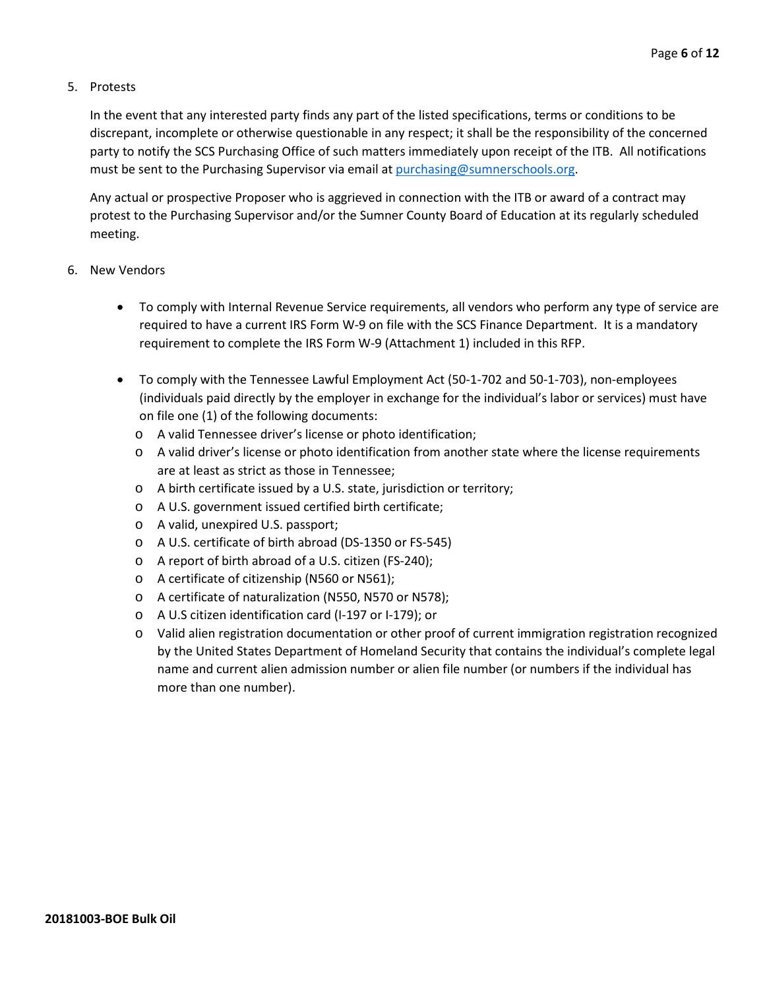#### 5. Protests

In the event that any interested party finds any part of the listed specifications, terms or conditions to be discrepant, incomplete or otherwise questionable in any respect; it shall be the responsibility of the concerned party to notify the SCS Purchasing Office of such matters immediately upon receipt of the ITB. All notifications must be sent to the Purchasing Supervisor via email at [purchasing@sumnerschools.org.](mailto:purchasing@sumnerschools.org)

Any actual or prospective Proposer who is aggrieved in connection with the ITB or award of a contract may protest to the Purchasing Supervisor and/or the Sumner County Board of Education at its regularly scheduled meeting.

#### 6. New Vendors

- To comply with Internal Revenue Service requirements, all vendors who perform any type of service are required to have a current IRS Form W-9 on file with the SCS Finance Department. It is a mandatory requirement to complete the IRS Form W-9 (Attachment 1) included in this RFP.
- To comply with the Tennessee Lawful Employment Act (50-1-702 and 50-1-703), non-employees (individuals paid directly by the employer in exchange for the individual's labor or services) must have on file one (1) of the following documents:
	- o A valid Tennessee driver's license or photo identification;
	- o A valid driver's license or photo identification from another state where the license requirements are at least as strict as those in Tennessee;
	- o A birth certificate issued by a U.S. state, jurisdiction or territory;
	- o A U.S. government issued certified birth certificate;
	- o A valid, unexpired U.S. passport;
	- o A U.S. certificate of birth abroad (DS-1350 or FS-545)
	- o A report of birth abroad of a U.S. citizen (FS-240);
	- o A certificate of citizenship (N560 or N561);
	- o A certificate of naturalization (N550, N570 or N578);
	- o A U.S citizen identification card (I-197 or I-179); or
	- o Valid alien registration documentation or other proof of current immigration registration recognized by the United States Department of Homeland Security that contains the individual's complete legal name and current alien admission number or alien file number (or numbers if the individual has more than one number).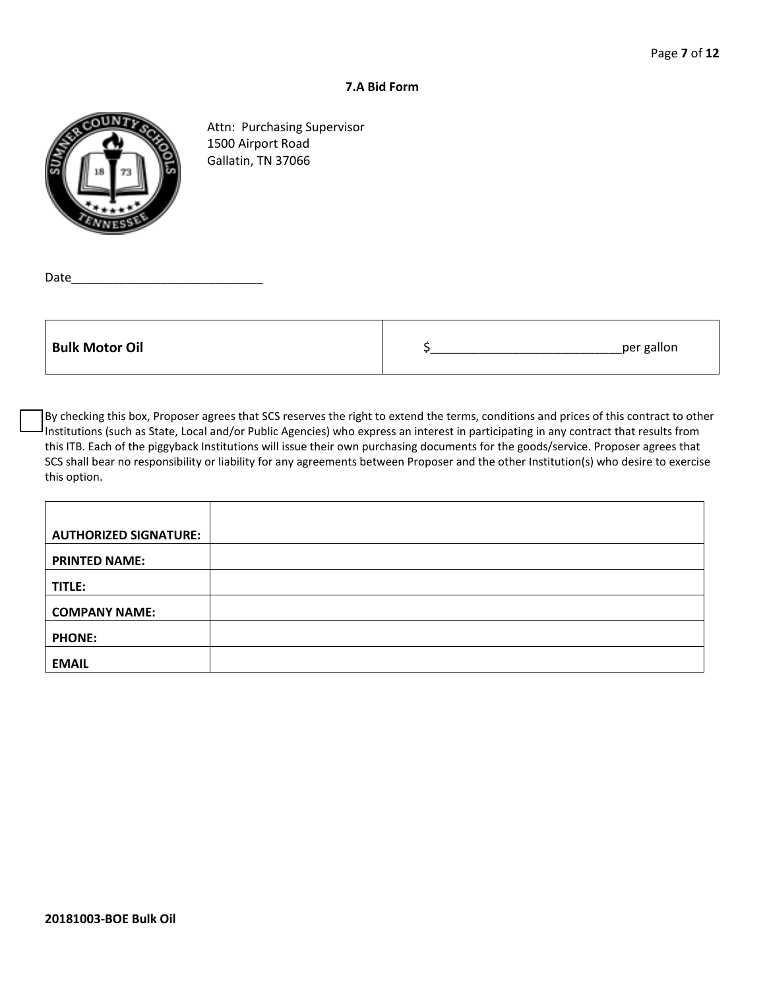#### **7.A Bid Form**



Attn: Purchasing Supervisor 1500 Airport Road Gallatin, TN 37066

Date

 $\Gamma$ 

Т

By checking this box, Proposer agrees that SCS reserves the right to extend the terms, conditions and prices of this contract to other Institutions (such as State, Local and/or Public Agencies) who express an interest in participating in any contract that results from this ITB. Each of the piggyback Institutions will issue their own purchasing documents for the goods/service. Proposer agrees that SCS shall bear no responsibility or liability for any agreements between Proposer and the other Institution(s) who desire to exercise this option.

| <b>AUTHORIZED SIGNATURE:</b> |  |
|------------------------------|--|
| <b>PRINTED NAME:</b>         |  |
| TITLE:                       |  |
| <b>COMPANY NAME:</b>         |  |
| <b>PHONE:</b>                |  |
| <b>EMAIL</b>                 |  |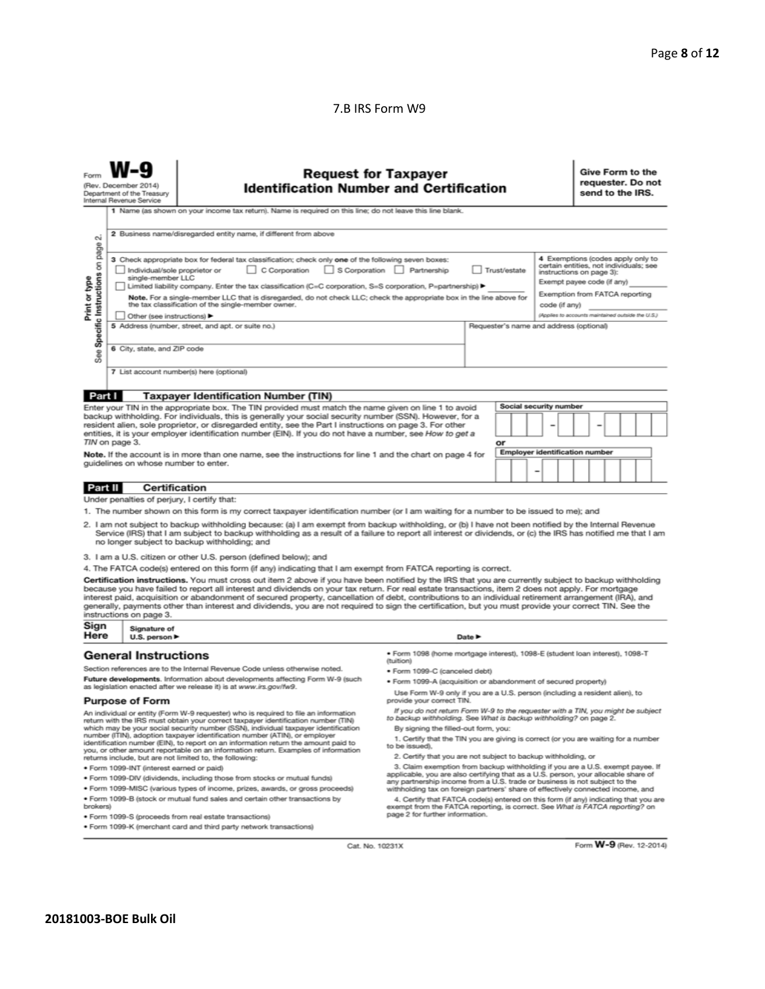#### 7.B IRS Form W9

| Form                                                                                                                                                                                                                                                                                                                                                                | <b>Request for Taxpayer</b><br>(Rev. December 2014)<br><b>Identification Number and Certification</b><br>Department of the Treasury<br>Internal Revenue Service                                                                                                                                                                         |                                                                                                                                                                                                                                                                                                                                                                                                                                                                                                                                                                                                                               |                                                                                                           |        |    |                                         |                                                                                                                                                                         |                                                   | Give Form to the<br>requester. Do not<br>send to the IRS. |  |  |  |  |  |
|---------------------------------------------------------------------------------------------------------------------------------------------------------------------------------------------------------------------------------------------------------------------------------------------------------------------------------------------------------------------|-----------------------------------------------------------------------------------------------------------------------------------------------------------------------------------------------------------------------------------------------------------------------------------------------------------------------------------------|-------------------------------------------------------------------------------------------------------------------------------------------------------------------------------------------------------------------------------------------------------------------------------------------------------------------------------------------------------------------------------------------------------------------------------------------------------------------------------------------------------------------------------------------------------------------------------------------------------------------------------|-----------------------------------------------------------------------------------------------------------|--------|----|-----------------------------------------|-------------------------------------------------------------------------------------------------------------------------------------------------------------------------|---------------------------------------------------|-----------------------------------------------------------|--|--|--|--|--|
|                                                                                                                                                                                                                                                                                                                                                                     |                                                                                                                                                                                                                                                                                                                                         | 1 Name (as shown on your income tax return). Name is required on this line; do not leave this line blank.                                                                                                                                                                                                                                                                                                                                                                                                                                                                                                                     |                                                                                                           |        |    |                                         |                                                                                                                                                                         |                                                   |                                                           |  |  |  |  |  |
| οi                                                                                                                                                                                                                                                                                                                                                                  |                                                                                                                                                                                                                                                                                                                                         | 2 Business name/disregarded entity name, if different from above                                                                                                                                                                                                                                                                                                                                                                                                                                                                                                                                                              |                                                                                                           |        |    |                                         |                                                                                                                                                                         |                                                   |                                                           |  |  |  |  |  |
| Specific Instructions on page<br>Print or type                                                                                                                                                                                                                                                                                                                      | 3 Check appropriate box for federal tax classification; check only one of the following seven boxes:<br>C Corporation<br>S Corporation Partnership<br>Trust/estate<br>Individual/sole proprietor or<br>single-member LLC<br>Limited liability company. Enter the tax classification (C=C corporation, S=S corporation, P=partnership) ▶ |                                                                                                                                                                                                                                                                                                                                                                                                                                                                                                                                                                                                                               |                                                                                                           |        |    |                                         | 4 Exemptions (codes apply only to<br>certain entities, not individuals; see<br>instructions on page 3):<br>Exempt payee code (if any)<br>Exemption from FATCA reporting |                                                   |                                                           |  |  |  |  |  |
|                                                                                                                                                                                                                                                                                                                                                                     |                                                                                                                                                                                                                                                                                                                                         | Note. For a single-member LLC that is disregarded, do not check LLC; check the appropriate box in the line above for<br>the tax classification of the single-member owner.                                                                                                                                                                                                                                                                                                                                                                                                                                                    |                                                                                                           |        |    |                                         |                                                                                                                                                                         | code (if any)                                     |                                                           |  |  |  |  |  |
|                                                                                                                                                                                                                                                                                                                                                                     | Other (see instructions)                                                                                                                                                                                                                                                                                                                |                                                                                                                                                                                                                                                                                                                                                                                                                                                                                                                                                                                                                               |                                                                                                           |        |    |                                         |                                                                                                                                                                         | (Applies to accounts maintained outside the U.S.) |                                                           |  |  |  |  |  |
|                                                                                                                                                                                                                                                                                                                                                                     |                                                                                                                                                                                                                                                                                                                                         | 5 Address (number, street, and apt. or suite no.)                                                                                                                                                                                                                                                                                                                                                                                                                                                                                                                                                                             |                                                                                                           |        |    | Requester's name and address (optional) |                                                                                                                                                                         |                                                   |                                                           |  |  |  |  |  |
| See                                                                                                                                                                                                                                                                                                                                                                 | 6 City, state, and ZIP code                                                                                                                                                                                                                                                                                                             |                                                                                                                                                                                                                                                                                                                                                                                                                                                                                                                                                                                                                               |                                                                                                           |        |    |                                         |                                                                                                                                                                         |                                                   |                                                           |  |  |  |  |  |
|                                                                                                                                                                                                                                                                                                                                                                     |                                                                                                                                                                                                                                                                                                                                         | 7 List account number(s) here (optional)                                                                                                                                                                                                                                                                                                                                                                                                                                                                                                                                                                                      |                                                                                                           |        |    |                                         |                                                                                                                                                                         |                                                   |                                                           |  |  |  |  |  |
|                                                                                                                                                                                                                                                                                                                                                                     |                                                                                                                                                                                                                                                                                                                                         |                                                                                                                                                                                                                                                                                                                                                                                                                                                                                                                                                                                                                               |                                                                                                           |        |    |                                         |                                                                                                                                                                         |                                                   |                                                           |  |  |  |  |  |
| Part I                                                                                                                                                                                                                                                                                                                                                              |                                                                                                                                                                                                                                                                                                                                         | <b>Taxpayer Identification Number (TIN)</b>                                                                                                                                                                                                                                                                                                                                                                                                                                                                                                                                                                                   |                                                                                                           |        |    |                                         |                                                                                                                                                                         |                                                   |                                                           |  |  |  |  |  |
|                                                                                                                                                                                                                                                                                                                                                                     |                                                                                                                                                                                                                                                                                                                                         | Enter your TIN in the appropriate box. The TIN provided must match the name given on line 1 to avoid<br>backup withholding. For individuals, this is generally your social security number (SSN). However, for a                                                                                                                                                                                                                                                                                                                                                                                                              |                                                                                                           |        |    | Social security number                  |                                                                                                                                                                         |                                                   |                                                           |  |  |  |  |  |
|                                                                                                                                                                                                                                                                                                                                                                     |                                                                                                                                                                                                                                                                                                                                         | resident alien, sole proprietor, or disregarded entity, see the Part I instructions on page 3. For other                                                                                                                                                                                                                                                                                                                                                                                                                                                                                                                      |                                                                                                           |        |    |                                         |                                                                                                                                                                         |                                                   |                                                           |  |  |  |  |  |
|                                                                                                                                                                                                                                                                                                                                                                     |                                                                                                                                                                                                                                                                                                                                         | entities, it is your employer identification number (EIN). If you do not have a number, see How to get a                                                                                                                                                                                                                                                                                                                                                                                                                                                                                                                      |                                                                                                           |        |    |                                         |                                                                                                                                                                         |                                                   |                                                           |  |  |  |  |  |
|                                                                                                                                                                                                                                                                                                                                                                     | TIN on page 3.                                                                                                                                                                                                                                                                                                                          |                                                                                                                                                                                                                                                                                                                                                                                                                                                                                                                                                                                                                               |                                                                                                           |        | or | <b>Employer identification number</b>   |                                                                                                                                                                         |                                                   |                                                           |  |  |  |  |  |
|                                                                                                                                                                                                                                                                                                                                                                     | guidelines on whose number to enter.                                                                                                                                                                                                                                                                                                    | Note. If the account is in more than one name, see the instructions for line 1 and the chart on page 4 for                                                                                                                                                                                                                                                                                                                                                                                                                                                                                                                    |                                                                                                           |        |    |                                         |                                                                                                                                                                         |                                                   |                                                           |  |  |  |  |  |
|                                                                                                                                                                                                                                                                                                                                                                     |                                                                                                                                                                                                                                                                                                                                         |                                                                                                                                                                                                                                                                                                                                                                                                                                                                                                                                                                                                                               |                                                                                                           |        |    | -                                       |                                                                                                                                                                         |                                                   |                                                           |  |  |  |  |  |
| Part II                                                                                                                                                                                                                                                                                                                                                             | <b>Certification</b>                                                                                                                                                                                                                                                                                                                    |                                                                                                                                                                                                                                                                                                                                                                                                                                                                                                                                                                                                                               |                                                                                                           |        |    |                                         |                                                                                                                                                                         |                                                   |                                                           |  |  |  |  |  |
|                                                                                                                                                                                                                                                                                                                                                                     | Under penalties of perjury, I certify that:                                                                                                                                                                                                                                                                                             |                                                                                                                                                                                                                                                                                                                                                                                                                                                                                                                                                                                                                               |                                                                                                           |        |    |                                         |                                                                                                                                                                         |                                                   |                                                           |  |  |  |  |  |
|                                                                                                                                                                                                                                                                                                                                                                     |                                                                                                                                                                                                                                                                                                                                         | 1. The number shown on this form is my correct taxpayer identification number (or I am waiting for a number to be issued to me); and                                                                                                                                                                                                                                                                                                                                                                                                                                                                                          |                                                                                                           |        |    |                                         |                                                                                                                                                                         |                                                   |                                                           |  |  |  |  |  |
| 2. I am not subject to backup withholding because: (a) I am exempt from backup withholding, or (b) I have not been notified by the Internal Revenue<br>Service (IRS) that I am subject to backup withholding as a result of a failure to report all interest or dividends, or (c) the IRS has notified me that I am<br>no longer subject to backup withholding; and |                                                                                                                                                                                                                                                                                                                                         |                                                                                                                                                                                                                                                                                                                                                                                                                                                                                                                                                                                                                               |                                                                                                           |        |    |                                         |                                                                                                                                                                         |                                                   |                                                           |  |  |  |  |  |
| 3. I am a U.S. citizen or other U.S. person (defined below); and                                                                                                                                                                                                                                                                                                    |                                                                                                                                                                                                                                                                                                                                         |                                                                                                                                                                                                                                                                                                                                                                                                                                                                                                                                                                                                                               |                                                                                                           |        |    |                                         |                                                                                                                                                                         |                                                   |                                                           |  |  |  |  |  |
|                                                                                                                                                                                                                                                                                                                                                                     |                                                                                                                                                                                                                                                                                                                                         | 4. The FATCA code(s) entered on this form (if any) indicating that I am exempt from FATCA reporting is correct.                                                                                                                                                                                                                                                                                                                                                                                                                                                                                                               |                                                                                                           |        |    |                                         |                                                                                                                                                                         |                                                   |                                                           |  |  |  |  |  |
|                                                                                                                                                                                                                                                                                                                                                                     | instructions on page 3.                                                                                                                                                                                                                                                                                                                 | Certification instructions. You must cross out item 2 above if you have been notified by the IRS that you are currently subject to backup withholding<br>because you have failed to report all interest and dividends on your tax return. For real estate transactions, item 2 does not apply. For mortgage<br>interest paid, acquisition or abandonment of secured property, cancellation of debt, contributions to an individual retirement arrangement (IRA), and<br>generally, payments other than interest and dividends, you are not required to sign the certification, but you must provide your correct TIN. See the |                                                                                                           |        |    |                                         |                                                                                                                                                                         |                                                   |                                                           |  |  |  |  |  |
| Sign<br>Here                                                                                                                                                                                                                                                                                                                                                        | Signature of<br>U.S. person $\blacktriangleright$                                                                                                                                                                                                                                                                                       |                                                                                                                                                                                                                                                                                                                                                                                                                                                                                                                                                                                                                               |                                                                                                           | Date P |    |                                         |                                                                                                                                                                         |                                                   |                                                           |  |  |  |  |  |
|                                                                                                                                                                                                                                                                                                                                                                     | <b>General Instructions</b>                                                                                                                                                                                                                                                                                                             |                                                                                                                                                                                                                                                                                                                                                                                                                                                                                                                                                                                                                               | · Form 1098 (home mortgage interest), 1098-E (student loan interest), 1098-T<br>(tuition)                 |        |    |                                         |                                                                                                                                                                         |                                                   |                                                           |  |  |  |  |  |
| Section references are to the Internal Revenue Code unless otherwise noted.<br>· Form 1099-C (canceled debt)                                                                                                                                                                                                                                                        |                                                                                                                                                                                                                                                                                                                                         |                                                                                                                                                                                                                                                                                                                                                                                                                                                                                                                                                                                                                               |                                                                                                           |        |    |                                         |                                                                                                                                                                         |                                                   |                                                           |  |  |  |  |  |
|                                                                                                                                                                                                                                                                                                                                                                     |                                                                                                                                                                                                                                                                                                                                         | Future developments. Information about developments affecting Form W-9 (such                                                                                                                                                                                                                                                                                                                                                                                                                                                                                                                                                  | · Form 1099-A (acquisition or abandonment of secured property)                                            |        |    |                                         |                                                                                                                                                                         |                                                   |                                                           |  |  |  |  |  |
| as legislation enacted after we release it) is at www.irs.gov/fw9.<br>Use Form W-9 only if you are a U.S. person (including a resident alien), to<br><b>Purpose of Form</b><br>provide your correct TIN.                                                                                                                                                            |                                                                                                                                                                                                                                                                                                                                         |                                                                                                                                                                                                                                                                                                                                                                                                                                                                                                                                                                                                                               |                                                                                                           |        |    |                                         |                                                                                                                                                                         |                                                   |                                                           |  |  |  |  |  |
|                                                                                                                                                                                                                                                                                                                                                                     |                                                                                                                                                                                                                                                                                                                                         |                                                                                                                                                                                                                                                                                                                                                                                                                                                                                                                                                                                                                               |                                                                                                           |        |    |                                         |                                                                                                                                                                         |                                                   |                                                           |  |  |  |  |  |
|                                                                                                                                                                                                                                                                                                                                                                     |                                                                                                                                                                                                                                                                                                                                         | An individual or entity (Form W-9 requester) who is required to file an information                                                                                                                                                                                                                                                                                                                                                                                                                                                                                                                                           | If you do not return Form W-9 to the requester with a TIN, you might be subject                           |        |    |                                         |                                                                                                                                                                         |                                                   |                                                           |  |  |  |  |  |
|                                                                                                                                                                                                                                                                                                                                                                     |                                                                                                                                                                                                                                                                                                                                         | return with the IRS must obtain your correct taxpayer identification number (TIN)<br>which may be your social security number (SSN), individual taxpayer identification                                                                                                                                                                                                                                                                                                                                                                                                                                                       | to backup withholding. See What is backup withholding? on page 2.<br>By signing the filled-out form, you: |        |    |                                         |                                                                                                                                                                         |                                                   |                                                           |  |  |  |  |  |
|                                                                                                                                                                                                                                                                                                                                                                     |                                                                                                                                                                                                                                                                                                                                         | number (ITIN), adoption taxpayer identification number (ATIN), or employer<br>identification number (EIN), to report on an information return the amount paid to                                                                                                                                                                                                                                                                                                                                                                                                                                                              | 1. Certify that the TIN you are giving is correct (or you are waiting for a number                        |        |    |                                         |                                                                                                                                                                         |                                                   |                                                           |  |  |  |  |  |
|                                                                                                                                                                                                                                                                                                                                                                     |                                                                                                                                                                                                                                                                                                                                         | you, or other amount reportable on an information return. Examples of information<br>returns include, but are not limited to, the following:                                                                                                                                                                                                                                                                                                                                                                                                                                                                                  | to be issued).<br>2. Certify that you are not subject to backup withholding, or                           |        |    |                                         |                                                                                                                                                                         |                                                   |                                                           |  |  |  |  |  |

. Form 1099-DIV (dividends, including those from stocks or mutual funds)

· Form 1099-MISC (various types of income, prizes, awards, or gross proceeds)

. Form 1099-B (stock or mutual fund sales and certain other transactions by brokers)

· Form 1099-S (proceeds from real estate transactions)

. Form 1099-K (merchant card and third party network transactions)

applicable, you are also certifying that as a U.S. person, your allocable share of<br>any partnership income from a U.S. trade or business is not subject to the<br>withholding tax on foreign partners' share of effectively connec

Cat. No. 10231X

Form W-9 (Rev. 12-2014)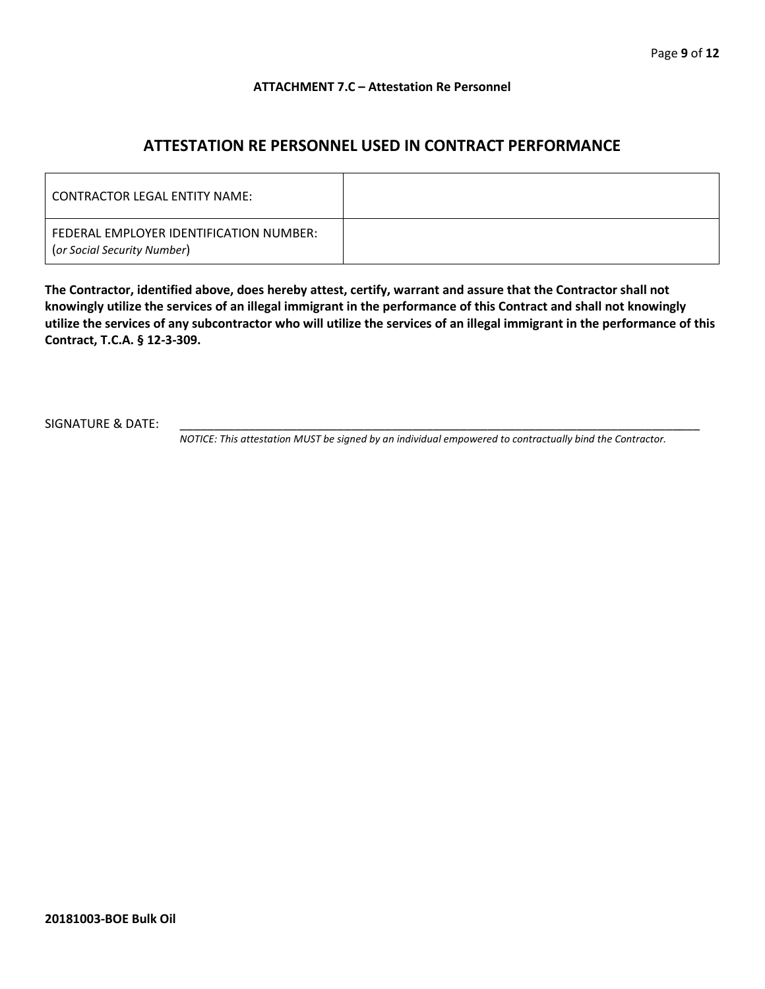#### **ATTACHMENT 7.C – Attestation Re Personnel**

## **ATTESTATION RE PERSONNEL USED IN CONTRACT PERFORMANCE**

| CONTRACTOR LEGAL ENTITY NAME:                                          |  |
|------------------------------------------------------------------------|--|
| FEDERAL EMPLOYER IDENTIFICATION NUMBER:<br>(or Social Security Number) |  |

**The Contractor, identified above, does hereby attest, certify, warrant and assure that the Contractor shall not knowingly utilize the services of an illegal immigrant in the performance of this Contract and shall not knowingly utilize the services of any subcontractor who will utilize the services of an illegal immigrant in the performance of this Contract, T.C.A. § 12-3-309.**

SIGNATURE & DATE:

*NOTICE: This attestation MUST be signed by an individual empowered to contractually bind the Contractor.*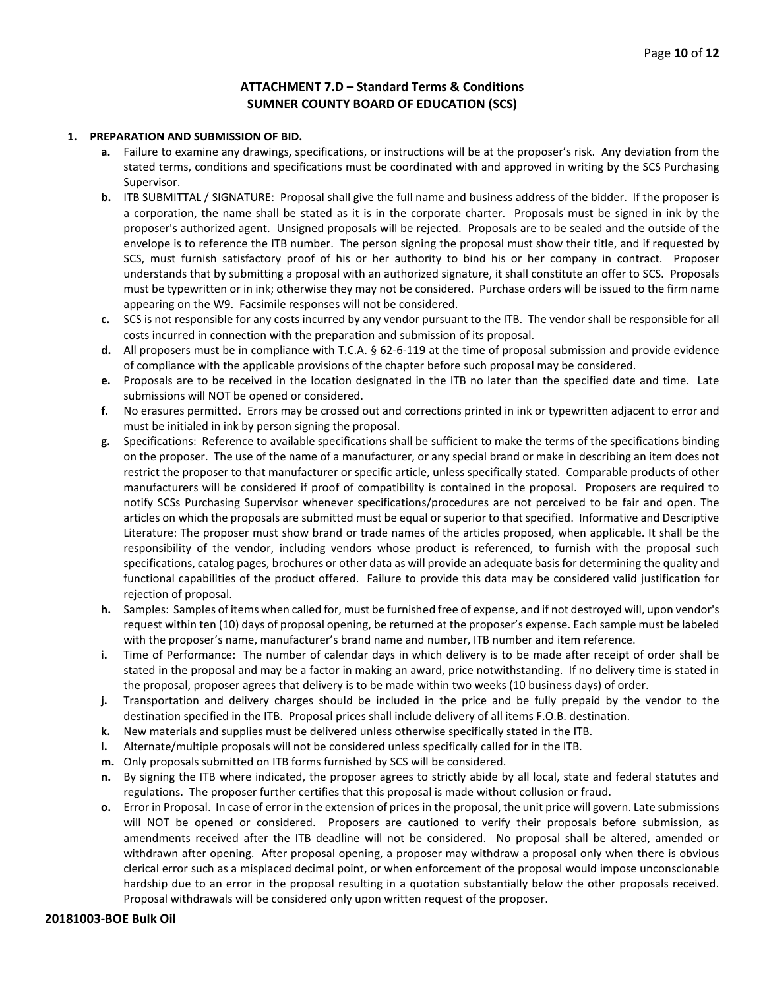#### **ATTACHMENT 7.D – Standard Terms & Conditions SUMNER COUNTY BOARD OF EDUCATION (SCS)**

#### **1. PREPARATION AND SUBMISSION OF BID.**

- **a.** Failure to examine any drawings**,** specifications, or instructions will be at the proposer's risk. Any deviation from the stated terms, conditions and specifications must be coordinated with and approved in writing by the SCS Purchasing Supervisor.
- **b.** ITB SUBMITTAL / SIGNATURE: Proposal shall give the full name and business address of the bidder. If the proposer is a corporation, the name shall be stated as it is in the corporate charter. Proposals must be signed in ink by the proposer's authorized agent. Unsigned proposals will be rejected. Proposals are to be sealed and the outside of the envelope is to reference the ITB number. The person signing the proposal must show their title, and if requested by SCS, must furnish satisfactory proof of his or her authority to bind his or her company in contract. Proposer understands that by submitting a proposal with an authorized signature, it shall constitute an offer to SCS. Proposals must be typewritten or in ink; otherwise they may not be considered. Purchase orders will be issued to the firm name appearing on the W9. Facsimile responses will not be considered.
- **c.** SCS is not responsible for any costs incurred by any vendor pursuant to the ITB. The vendor shall be responsible for all costs incurred in connection with the preparation and submission of its proposal.
- **d.** All proposers must be in compliance with T.C.A. § 62-6-119 at the time of proposal submission and provide evidence of compliance with the applicable provisions of the chapter before such proposal may be considered.
- **e.** Proposals are to be received in the location designated in the ITB no later than the specified date and time. Late submissions will NOT be opened or considered.
- **f.** No erasures permitted. Errors may be crossed out and corrections printed in ink or typewritten adjacent to error and must be initialed in ink by person signing the proposal.
- **g.** Specifications: Reference to available specifications shall be sufficient to make the terms of the specifications binding on the proposer. The use of the name of a manufacturer, or any special brand or make in describing an item does not restrict the proposer to that manufacturer or specific article, unless specifically stated. Comparable products of other manufacturers will be considered if proof of compatibility is contained in the proposal. Proposers are required to notify SCSs Purchasing Supervisor whenever specifications/procedures are not perceived to be fair and open. The articles on which the proposals are submitted must be equal or superior to that specified. Informative and Descriptive Literature: The proposer must show brand or trade names of the articles proposed, when applicable. It shall be the responsibility of the vendor, including vendors whose product is referenced, to furnish with the proposal such specifications, catalog pages, brochures or other data as will provide an adequate basis for determining the quality and functional capabilities of the product offered. Failure to provide this data may be considered valid justification for rejection of proposal.
- **h.** Samples: Samples of items when called for, must be furnished free of expense, and if not destroyed will, upon vendor's request within ten (10) days of proposal opening, be returned at the proposer's expense. Each sample must be labeled with the proposer's name, manufacturer's brand name and number, ITB number and item reference.
- **i.** Time of Performance: The number of calendar days in which delivery is to be made after receipt of order shall be stated in the proposal and may be a factor in making an award, price notwithstanding. If no delivery time is stated in the proposal, proposer agrees that delivery is to be made within two weeks (10 business days) of order.
- **j.** Transportation and delivery charges should be included in the price and be fully prepaid by the vendor to the destination specified in the ITB. Proposal prices shall include delivery of all items F.O.B. destination.
- **k.** New materials and supplies must be delivered unless otherwise specifically stated in the ITB.
- **l.** Alternate/multiple proposals will not be considered unless specifically called for in the ITB.
- **m.** Only proposals submitted on ITB forms furnished by SCS will be considered.
- **n.** By signing the ITB where indicated, the proposer agrees to strictly abide by all local, state and federal statutes and regulations. The proposer further certifies that this proposal is made without collusion or fraud.
- **o.** Error in Proposal. In case of error in the extension of prices in the proposal, the unit price will govern. Late submissions will NOT be opened or considered. Proposers are cautioned to verify their proposals before submission, as amendments received after the ITB deadline will not be considered. No proposal shall be altered, amended or withdrawn after opening. After proposal opening, a proposer may withdraw a proposal only when there is obvious clerical error such as a misplaced decimal point, or when enforcement of the proposal would impose unconscionable hardship due to an error in the proposal resulting in a quotation substantially below the other proposals received. Proposal withdrawals will be considered only upon written request of the proposer.

#### **20181003-BOE Bulk Oil**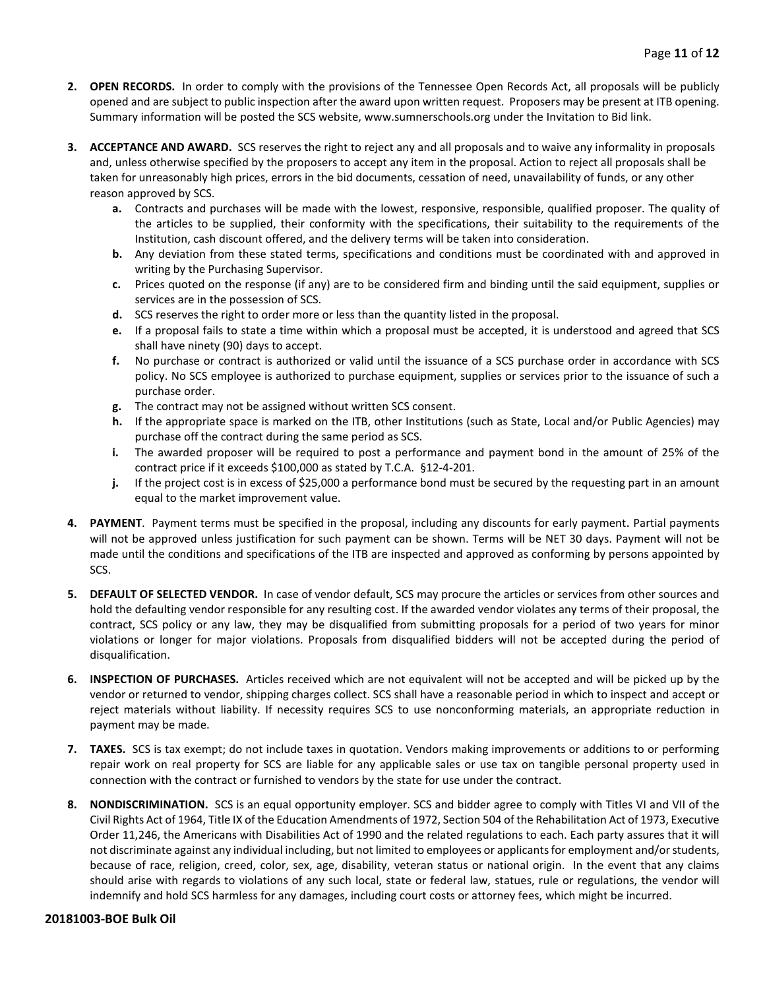- **2. OPEN RECORDS.** In order to comply with the provisions of the Tennessee Open Records Act, all proposals will be publicly opened and are subject to public inspection after the award upon written request. Proposers may be present at ITB opening. Summary information will be posted the SCS website, www.sumnerschools.org under the Invitation to Bid link.
- **3. ACCEPTANCE AND AWARD.** SCS reserves the right to reject any and all proposals and to waive any informality in proposals and, unless otherwise specified by the proposers to accept any item in the proposal. Action to reject all proposals shall be taken for unreasonably high prices, errors in the bid documents, cessation of need, unavailability of funds, or any other reason approved by SCS.
	- **a.** Contracts and purchases will be made with the lowest, responsive, responsible, qualified proposer. The quality of the articles to be supplied, their conformity with the specifications, their suitability to the requirements of the Institution, cash discount offered, and the delivery terms will be taken into consideration.
	- **b.** Any deviation from these stated terms, specifications and conditions must be coordinated with and approved in writing by the Purchasing Supervisor.
	- **c.** Prices quoted on the response (if any) are to be considered firm and binding until the said equipment, supplies or services are in the possession of SCS.
	- **d.** SCS reserves the right to order more or less than the quantity listed in the proposal.
	- **e.** If a proposal fails to state a time within which a proposal must be accepted, it is understood and agreed that SCS shall have ninety (90) days to accept.
	- **f.** No purchase or contract is authorized or valid until the issuance of a SCS purchase order in accordance with SCS policy. No SCS employee is authorized to purchase equipment, supplies or services prior to the issuance of such a purchase order.
	- **g.** The contract may not be assigned without written SCS consent.
	- **h.** If the appropriate space is marked on the ITB, other Institutions (such as State, Local and/or Public Agencies) may purchase off the contract during the same period as SCS.
	- **i.** The awarded proposer will be required to post a performance and payment bond in the amount of 25% of the contract price if it exceeds \$100,000 as stated by T.C.A. §12-4-201.
	- **j.** If the project cost is in excess of \$25,000 a performance bond must be secured by the requesting part in an amount equal to the market improvement value.
- **4. PAYMENT**. Payment terms must be specified in the proposal, including any discounts for early payment. Partial payments will not be approved unless justification for such payment can be shown. Terms will be NET 30 days. Payment will not be made until the conditions and specifications of the ITB are inspected and approved as conforming by persons appointed by SCS.
- **5. DEFAULT OF SELECTED VENDOR.** In case of vendor default, SCS may procure the articles or services from other sources and hold the defaulting vendor responsible for any resulting cost. If the awarded vendor violates any terms of their proposal, the contract, SCS policy or any law, they may be disqualified from submitting proposals for a period of two years for minor violations or longer for major violations. Proposals from disqualified bidders will not be accepted during the period of disqualification.
- **6. INSPECTION OF PURCHASES.** Articles received which are not equivalent will not be accepted and will be picked up by the vendor or returned to vendor, shipping charges collect. SCS shall have a reasonable period in which to inspect and accept or reject materials without liability. If necessity requires SCS to use nonconforming materials, an appropriate reduction in payment may be made.
- **7. TAXES.** SCS is tax exempt; do not include taxes in quotation. Vendors making improvements or additions to or performing repair work on real property for SCS are liable for any applicable sales or use tax on tangible personal property used in connection with the contract or furnished to vendors by the state for use under the contract.
- **8. NONDISCRIMINATION.** SCS is an equal opportunity employer. SCS and bidder agree to comply with Titles VI and VII of the Civil Rights Act of 1964, Title IX of the Education Amendments of 1972, Section 504 of the Rehabilitation Act of 1973, Executive Order 11,246, the Americans with Disabilities Act of 1990 and the related regulations to each. Each party assures that it will not discriminate against any individual including, but not limited to employees or applicants for employment and/or students, because of race, religion, creed, color, sex, age, disability, veteran status or national origin. In the event that any claims should arise with regards to violations of any such local, state or federal law, statues, rule or regulations, the vendor will indemnify and hold SCS harmless for any damages, including court costs or attorney fees, which might be incurred.